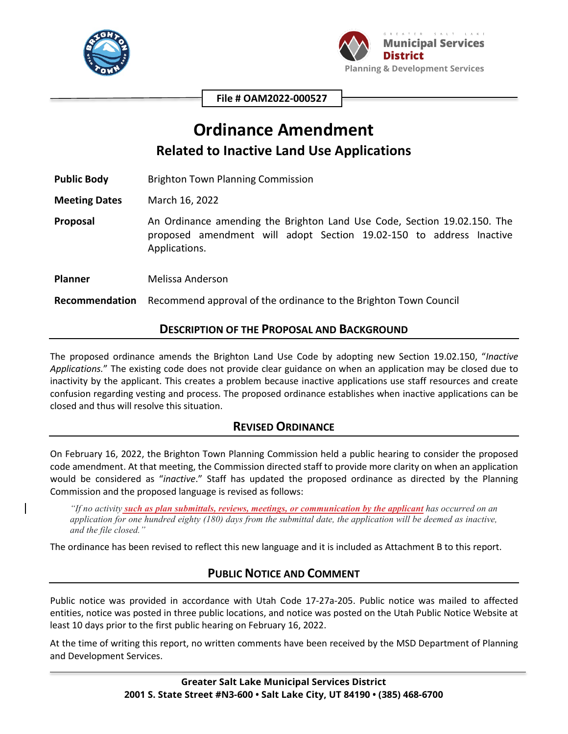



**File # OAM2022-000527**

# **Ordinance Amendment Related to Inactive Land Use Applications**

**Public Body** Brighton Town Planning Commission

**Meeting Dates** March 16, 2022

**Proposal** An Ordinance amending the Brighton Land Use Code, Section 19.02.150. The proposed amendment will adopt Section 19.02-150 to address Inactive Applications.

**Planner** Melissa Anderson

**Recommendation** Recommend approval of the ordinance to the Brighton Town Council

#### **DESCRIPTION OF THE PROPOSAL AND BACKGROUND**

The proposed ordinance amends the Brighton Land Use Code by adopting new Section 19.02.150, "*Inactive Applications.*" The existing code does not provide clear guidance on when an application may be closed due to inactivity by the applicant. This creates a problem because inactive applications use staff resources and create confusion regarding vesting and process. The proposed ordinance establishes when inactive applications can be closed and thus will resolve this situation.

## **REVISED ORDINANCE**

On February 16, 2022, the Brighton Town Planning Commission held a public hearing to consider the proposed code amendment. At that meeting, the Commission directed staff to provide more clarity on when an application would be considered as "*inactive*." Staff has updated the proposed ordinance as directed by the Planning Commission and the proposed language is revised as follows:

*"If no activity such as plan submittals, reviews, meetings, or communication by the applicant has occurred on an application for one hundred eighty (180) days from the submittal date, the application will be deemed as inactive, and the file closed."*

The ordinance has been revised to reflect this new language and it is included as Attachment B to this report.

## **PUBLIC NOTICE AND COMMENT**

Public notice was provided in accordance with Utah Code 17-27a-205. Public notice was mailed to affected entities, notice was posted in three public locations, and notice was posted on the Utah Public Notice Website at least 10 days prior to the first public hearing on February 16, 2022.

At the time of writing this report, no written comments have been received by the MSD Department of Planning and Development Services.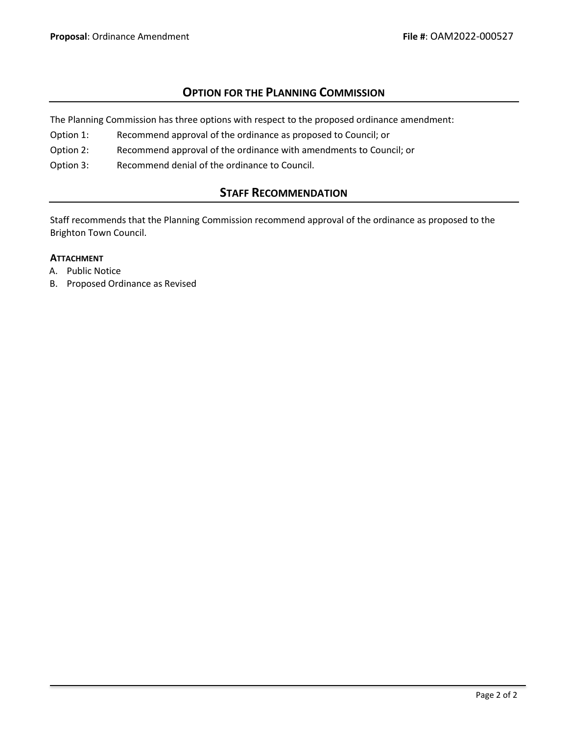## **OPTION FOR THE PLANNING COMMISSION**

The Planning Commission has three options with respect to the proposed ordinance amendment:

- Option 1: Recommend approval of the ordinance as proposed to Council; or
- Option 2: Recommend approval of the ordinance with amendments to Council; or
- Option 3: Recommend denial of the ordinance to Council.

## **STAFF RECOMMENDATION**

Staff recommends that the Planning Commission recommend approval of the ordinance as proposed to the Brighton Town Council.

#### **ATTACHMENT**

- A. Public Notice
- B. Proposed Ordinance as Revised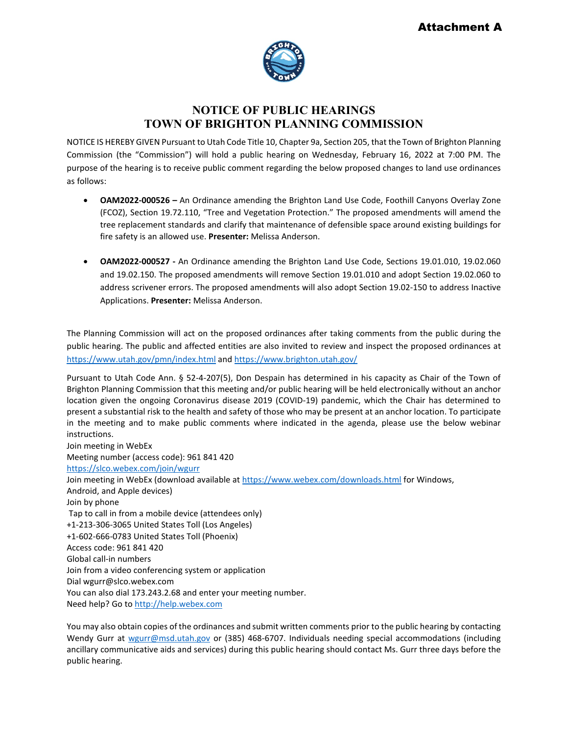

## **NOTICE OF PUBLIC HEARINGS TOWN OF BRIGHTON PLANNING COMMISSION**

NOTICE IS HEREBY GIVEN Pursuant to Utah Code Title 10, Chapter 9a, Section 205, that the Town of Brighton Planning Commission (the "Commission") will hold a public hearing on Wednesday, February 16, 2022 at 7:00 PM. The purpose of the hearing is to receive public comment regarding the below proposed changes to land use ordinances as follows:

- **OAM2022-000526** An Ordinance amending the Brighton Land Use Code, Foothill Canyons Overlay Zone (FCOZ), Section 19.72.110, "Tree and Vegetation Protection." The proposed amendments will amend the tree replacement standards and clarify that maintenance of defensible space around existing buildings for fire safety is an allowed use. **Presenter:** Melissa Anderson.
- **OAM2022-000527** An Ordinance amending the Brighton Land Use Code, Sections 19.01.010, 19.02.060 and 19.02.150. The proposed amendments will remove Section 19.01.010 and adopt Section 19.02.060 to address scrivener errors. The proposed amendments will also adopt Section 19.02-150 to address Inactive Applications. **Presenter:** Melissa Anderson.

The Planning Commission will act on the proposed ordinances after taking comments from the public during the public hearing. The public and affected entities are also invited to review and inspect the proposed ordinances at <https://www.utah.gov/pmn/index.html> an[d https://www.brighton.utah.gov/](https://www.brighton.utah.gov/) 

Pursuant to Utah Code Ann. § 52-4-207(5), Don Despain has determined in his capacity as Chair of the Town of Brighton Planning Commission that this meeting and/or public hearing will be held electronically without an anchor location given the ongoing Coronavirus disease 2019 (COVID-19) pandemic, which the Chair has determined to present a substantial risk to the health and safety of those who may be present at an anchor location. To participate in the meeting and to make public comments where indicated in the agenda, please use the below webinar instructions.

Join meeting in WebEx Meeting number (access code): 961 841 420 <https://slco.webex.com/join/wgurr> Join meeting in WebEx (download available at<https://www.webex.com/downloads.html> for Windows, Android, and Apple devices) Join by phone Tap to call in from a mobile device (attendees only) +1-213-306-3065 United States Toll (Los Angeles) +1-602-666-0783 United States Toll (Phoenix) Access code: 961 841 420 Global call-in numbers Join from a video conferencing system or application Dial wgurr@slco.webex.com You can also dial 173.243.2.68 and enter your meeting number. Need help? Go to [http://help.webex.com](http://help.webex.com/)

You may also obtain copies of the ordinances and submit written comments prior to the public hearing by contacting Wendy Gurr at [wgurr@msd.utah.gov](mailto:wgurr@msd.utah.gov) or (385) 468-6707. Individuals needing special accommodations (including ancillary communicative aids and services) during this public hearing should contact Ms. Gurr three days before the public hearing.